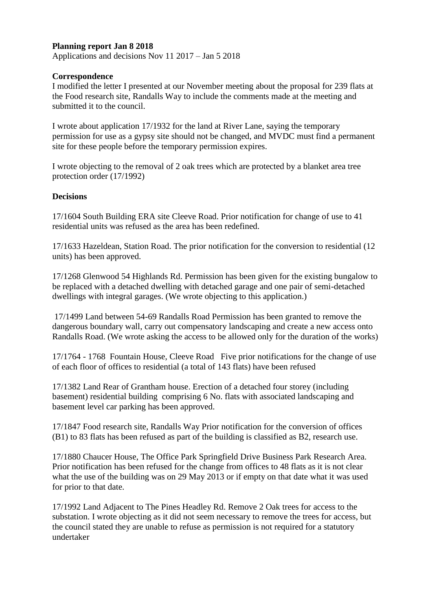## **Planning report Jan 8 2018**

Applications and decisions Nov 11 2017 – Jan 5 2018

## **Correspondence**

I modified the letter I presented at our November meeting about the proposal for 239 flats at the Food research site, Randalls Way to include the comments made at the meeting and submitted it to the council.

I wrote about application 17/1932 for the land at River Lane, saying the temporary permission for use as a gypsy site should not be changed, and MVDC must find a permanent site for these people before the temporary permission expires.

I wrote objecting to the removal of 2 oak trees which are protected by a blanket area tree protection order (17/1992)

## **Decisions**

17/1604 South Building ERA site Cleeve Road. Prior notification for change of use to 41 residential units was refused as the area has been redefined.

17/1633 Hazeldean, Station Road. The prior notification for the conversion to residential (12 units) has been approved.

17/1268 Glenwood 54 Highlands Rd. Permission has been given for the existing bungalow to be replaced with a detached dwelling with detached garage and one pair of semi-detached dwellings with integral garages. (We wrote objecting to this application.)

17/1499 Land between 54-69 Randalls Road Permission has been granted to remove the dangerous boundary wall, carry out compensatory landscaping and create a new access onto Randalls Road. (We wrote asking the access to be allowed only for the duration of the works)

17/1764 - 1768 Fountain House, Cleeve Road Five prior notifications for the change of use of each floor of offices to residential (a total of 143 flats) have been refused

17/1382 Land Rear of Grantham house. Erection of a detached four storey (including basement) residential building comprising 6 No. flats with associated landscaping and basement level car parking has been approved.

17/1847 Food research site, Randalls Way Prior notification for the conversion of offices (B1) to 83 flats has been refused as part of the building is classified as B2, research use.

17/1880 Chaucer House, The Office Park Springfield Drive Business Park Research Area. Prior notification has been refused for the change from offices to 48 flats as it is not clear what the use of the building was on 29 May 2013 or if empty on that date what it was used for prior to that date.

17/1992 Land Adjacent to The Pines Headley Rd. Remove 2 Oak trees for access to the substation. I wrote objecting as it did not seem necessary to remove the trees for access, but the council stated they are unable to refuse as permission is not required for a statutory undertaker